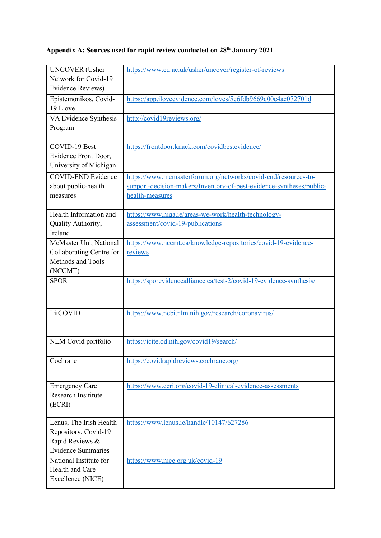# **Appendix A: Sources used for rapid review conducted on 28th January 2021**

| <b>UNCOVER</b> (Usher                        | https://www.ed.ac.uk/usher/uncover/register-of-reviews                                  |
|----------------------------------------------|-----------------------------------------------------------------------------------------|
| Network for Covid-19                         |                                                                                         |
| Evidence Reviews)                            |                                                                                         |
| Epistemonikos, Covid-                        | https://app.iloveevidence.com/loves/5e6fdb9669c00e4ac072701d                            |
| 19 L.ove                                     |                                                                                         |
| VA Evidence Synthesis                        | http://covid19reviews.org/                                                              |
| Program                                      |                                                                                         |
|                                              |                                                                                         |
| <b>COVID-19 Best</b><br>Evidence Front Door, | https://frontdoor.knack.com/covidbestevidence/                                          |
| University of Michigan                       |                                                                                         |
|                                              |                                                                                         |
| <b>COVID-END Evidence</b>                    | https://www.mcmasterforum.org/networks/covid-end/resources-to-                          |
| about public-health<br>measures              | support-decision-makers/Inventory-of-best-evidence-syntheses/public-<br>health-measures |
|                                              |                                                                                         |
| Health Information and                       | https://www.hiqa.ie/areas-we-work/health-technology-                                    |
| Quality Authority,                           | assessment/covid-19-publications                                                        |
| Ireland                                      |                                                                                         |
| McMaster Uni, National                       | https://www.nccmt.ca/knowledge-repositories/covid-19-evidence-                          |
| Collaborating Centre for                     | reviews                                                                                 |
| Methods and Tools                            |                                                                                         |
| (NCCMT)                                      |                                                                                         |
|                                              |                                                                                         |
| <b>SPOR</b>                                  | https://sporevidencealliance.ca/test-2/covid-19-evidence-synthesis/                     |
|                                              |                                                                                         |
|                                              |                                                                                         |
| LitCOVID                                     | https://www.ncbi.nlm.nih.gov/research/coronavirus/                                      |
|                                              |                                                                                         |
|                                              |                                                                                         |
| NLM Covid portfolio                          | https://icite.od.nih.gov/covid19/search/                                                |
|                                              |                                                                                         |
| Cochrane                                     | https://covidrapidreviews.cochrane.org/                                                 |
|                                              |                                                                                         |
| <b>Emergency Care</b>                        | https://www.ecri.org/covid-19-clinical-evidence-assessments                             |
| <b>Research Insititute</b>                   |                                                                                         |
| (ECRI)                                       |                                                                                         |
|                                              |                                                                                         |
| Lenus, The Irish Health                      | https://www.lenus.ie/handle/10147/627286                                                |
| Repository, Covid-19<br>Rapid Reviews &      |                                                                                         |
| <b>Evidence Summaries</b>                    |                                                                                         |
| National Institute for                       | https://www.nice.org.uk/covid-19                                                        |
| Health and Care                              |                                                                                         |
|                                              |                                                                                         |
| Excellence (NICE)                            |                                                                                         |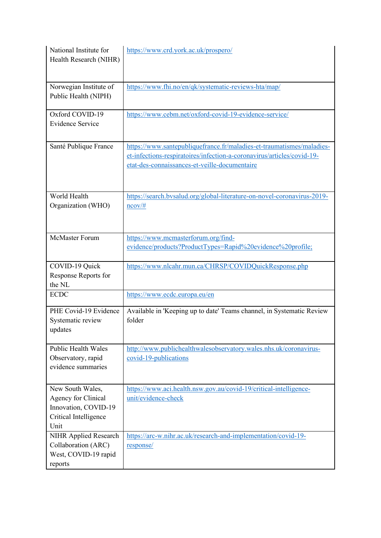| National Institute for<br>Health Research (NIHR)                                                 | https://www.crd.york.ac.uk/prospero/                                                                                                                                                             |
|--------------------------------------------------------------------------------------------------|--------------------------------------------------------------------------------------------------------------------------------------------------------------------------------------------------|
| Norwegian Institute of<br>Public Health (NIPH)                                                   | https://www.fhi.no/en/qk/systematic-reviews-hta/map/                                                                                                                                             |
| Oxford COVID-19<br><b>Evidence Service</b>                                                       | https://www.cebm.net/oxford-covid-19-evidence-service/                                                                                                                                           |
| Santé Publique France                                                                            | https://www.santepubliquefrance.fr/maladies-et-traumatismes/maladies-<br>et-infections-respiratoires/infection-a-coronavirus/articles/covid-19-<br>etat-des-connaissances-et-veille-documentaire |
| World Health<br>Organization (WHO)                                                               | https://search.bvsalud.org/global-literature-on-novel-coronavirus-2019-<br>$ncov/\#$                                                                                                             |
| <b>McMaster Forum</b>                                                                            | https://www.mcmasterforum.org/find-<br>evidence/products?ProductTypes=Rapid%20evidence%20profile;                                                                                                |
| COVID-19 Quick<br>Response Reports for<br>the NL                                                 | https://www.nlcahr.mun.ca/CHRSP/COVIDQuickResponse.php                                                                                                                                           |
| <b>ECDC</b>                                                                                      | https://www.ecdc.europa.eu/en                                                                                                                                                                    |
| PHE Covid-19 Evidence<br>Systematic review<br>updates                                            | Available in 'Keeping up to date' Teams channel, in Systematic Review<br>folder                                                                                                                  |
| <b>Public Health Wales</b><br>Observatory, rapid<br>evidence summaries                           | http://www.publichealthwalesobservatory.wales.nhs.uk/coronavirus-<br>covid-19-publications                                                                                                       |
| New South Wales,<br>Agency for Clinical<br>Innovation, COVID-19<br>Critical Intelligence<br>Unit | https://www.aci.health.nsw.gov.au/covid-19/critical-intelligence-<br>unit/evidence-check                                                                                                         |
| NIHR Applied Research<br>Collaboration (ARC)<br>West, COVID-19 rapid<br>reports                  | https://arc-w.nihr.ac.uk/research-and-implementation/covid-19-<br>response/                                                                                                                      |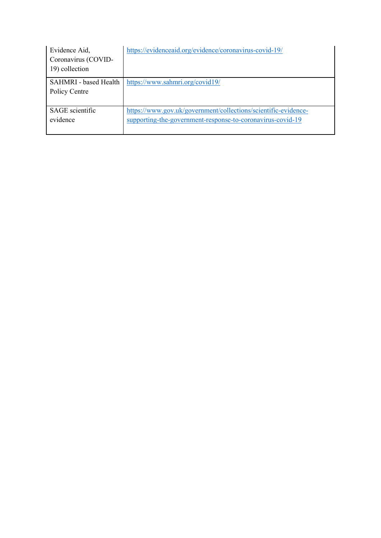| Evidence Aid,<br>Coronavirus (COVID-<br>19) collection | https://evidenceaid.org/evidence/coronavirus-covid-19/         |
|--------------------------------------------------------|----------------------------------------------------------------|
| <b>SAHMRI</b> - based Health                           | https://www.sahmri.org/covid19/                                |
| Policy Centre                                          |                                                                |
|                                                        |                                                                |
| <b>SAGE</b> scientific                                 | https://www.gov.uk/government/collections/scientific-evidence- |
| evidence                                               | supporting-the-government-response-to-coronavirus-covid-19     |
|                                                        |                                                                |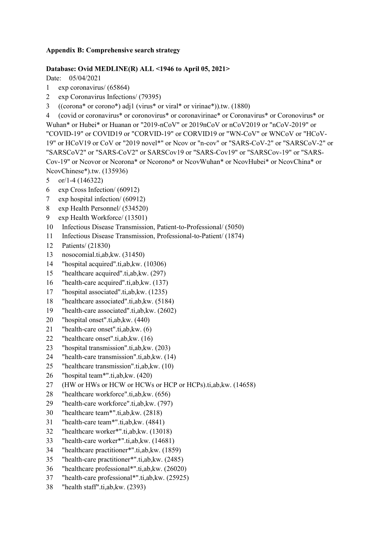#### **Appendix B: Comprehensive search strategy**

### **Database: Ovid MEDLINE(R) ALL <1946 to April 05, 2021>**

Date: 05/04/2021

- 1 exp coronavirus/ (65864)
- 2 exp Coronavirus Infections/ (79395)
- 3 ((corona\* or corono\*) adj1 (virus\* or viral\* or virinae\*)).tw. (1880)

4 (covid or coronavirus\* or coronovirus\* or coronavirinae\* or Coronavirus\* or Coronovirus\* or Wuhan\* or Hubei\* or Huanan or "2019-nCoV" or 2019nCoV or nCoV2019 or "nCoV-2019" or "COVID-19" or COVID19 or "CORVID-19" or CORVID19 or "WN-CoV" or WNCoV or "HCoV-19" or HCoV19 or CoV or "2019 novel\*" or Ncov or "n-cov" or "SARS-CoV-2" or "SARSCoV-2" or "SARSCoV2" or "SARS-CoV2" or SARSCov19 or "SARS-Cov19" or "SARSCov-19" or "SARS-Cov-19" or Ncovor or Ncorona\* or Ncorono\* or NcovWuhan\* or NcovHubei\* or NcovChina\* or NcovChinese\*).tw. (135936)

- 5 or/1-4 (146322)
- 6 exp Cross Infection/ (60912)
- 7 exp hospital infection/ (60912)
- 8 exp Health Personnel/ (534520)
- 9 exp Health Workforce/ (13501)
- 10 Infectious Disease Transmission, Patient-to-Professional/ (5050)
- 11 Infectious Disease Transmission, Professional-to-Patient/ (1874)
- 12 Patients/ (21830)
- 13 nosocomial.ti,ab,kw. (31450)
- 14 "hospital acquired".ti,ab,kw. (10306)
- 15 "healthcare acquired".ti,ab,kw. (297)
- 16 "health-care acquired".ti,ab,kw. (137)
- 17 "hospital associated".ti,ab,kw. (1235)
- 18 "healthcare associated".ti,ab,kw. (5184)
- 19 "health-care associated".ti,ab,kw. (2602)
- 20 "hospital onset".ti,ab,kw. (440)
- 21 "health-care onset".ti,ab,kw. (6)
- 22 "healthcare onset".ti,ab,kw. (16)
- 23 "hospital transmission".ti,ab,kw. (203)
- 24 "health-care transmission".ti,ab,kw. (14)
- 25 "healthcare transmission".ti,ab,kw. (10)
- 26 "hospital team\*".ti,ab,kw. (420)
- 27 (HW or HWs or HCW or HCWs or HCP or HCPs).ti,ab,kw. (14658)
- 28 "healthcare workforce".ti,ab,kw. (656)
- 29 "health-care workforce".ti,ab,kw. (797)
- 30 "healthcare team\*".ti,ab,kw. (2818)
- 31 "health-care team\*".ti,ab,kw. (4841)
- 32 "healthcare worker\*".ti,ab,kw. (13018)
- 33 "health-care worker\*".ti,ab,kw. (14681)
- 34 "healthcare practitioner\*".ti,ab,kw. (1859)
- 35 "health-care practitioner\*".ti,ab,kw. (2485)
- 36 "healthcare professional\*".ti,ab,kw. (26020)
- 37 "health-care professional\*".ti,ab,kw. (25925)
- 38 "health staff".ti,ab,kw. (2393)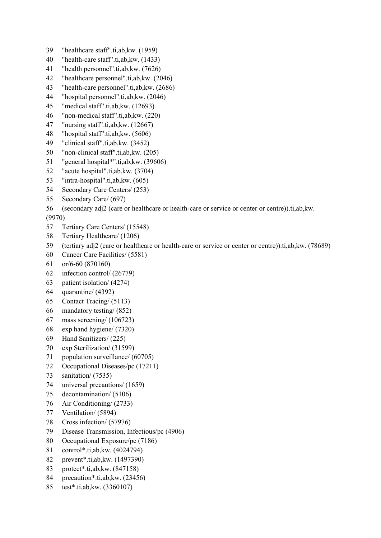- 39 "healthcare staff".ti,ab,kw. (1959)
- 40 "health-care staff".ti,ab,kw. (1433)
- 41 "health personnel".ti,ab,kw. (7626)
- 42 "healthcare personnel".ti,ab,kw. (2046)
- 43 "health-care personnel".ti,ab,kw. (2686)
- 44 "hospital personnel".ti,ab,kw. (2046)
- 45 "medical staff".ti,ab,kw. (12693)
- 46 "non-medical staff".ti,ab,kw. (220)
- 47 "nursing staff".ti,ab,kw. (12667)
- 48 "hospital staff".ti,ab,kw. (5606)
- 49 "clinical staff".ti,ab,kw. (3452)
- 50 "non-clinical staff".ti,ab,kw. (205)
- 51 "general hospital\*".ti,ab,kw. (39606)
- 52 "acute hospital".ti,ab,kw. (3704)
- 53 "intra-hospital".ti,ab,kw. (605)
- 54 Secondary Care Centers/ (253)
- 55 Secondary Care/ (697)
- 56 (secondary adj2 (care or healthcare or health-care or service or center or centre)).ti,ab,kw.

(9970)

- 57 Tertiary Care Centers/ (15548)
- 58 Tertiary Healthcare/ (1206)
- 59 (tertiary adj2 (care or healthcare or health-care or service or center or centre)).ti,ab,kw. (78689)
- 60 Cancer Care Facilities/ (5581)
- 61 or/6-60 (870160)
- 62 infection control/ (26779)
- 63 patient isolation/ (4274)
- 64 quarantine/ (4392)
- 65 Contact Tracing/ (5113)
- 66 mandatory testing/ (852)
- 67 mass screening/ (106723)
- 68 exp hand hygiene/ (7320)
- 69 Hand Sanitizers/ (225)
- 70 exp Sterilization/ (31599)
- 71 population surveillance/ (60705)
- 72 Occupational Diseases/pc (17211)
- 73 sanitation/ (7535)
- 74 universal precautions/ (1659)
- 75 decontamination/ (5106)
- 76 Air Conditioning/ (2733)
- 77 Ventilation/ (5894)
- 78 Cross infection/ (57976)
- 79 Disease Transmission, Infectious/pc (4906)
- 80 Occupational Exposure/pc (7186)
- 81 control\*.ti,ab,kw. (4024794)
- 82 prevent\*.ti,ab,kw. (1497390)
- 83 protect\*.ti,ab,kw. (847158)
- 84 precaution\*.ti,ab,kw. (23456)
- 85 test\*.ti,ab,kw. (3360107)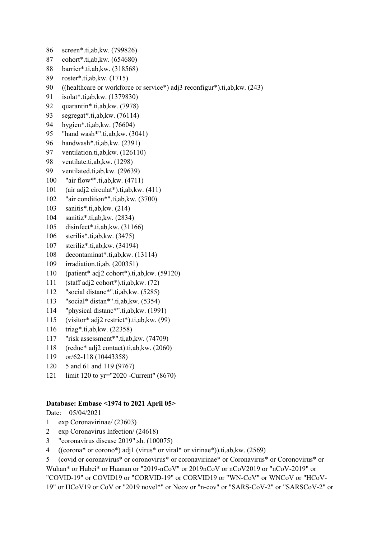- 86 screen\*.ti,ab,kw. (799826)
- 87 cohort\*.ti,ab,kw. (654680)
- 88 barrier\*.ti,ab,kw. (318568)
- 89 roster\*.ti,ab,kw. (1715)
- 90 ((healthcare or workforce or service\*) adj3 reconfigur\*).ti,ab,kw. (243)
- 91 isolat\*.ti,ab,kw. (1379830)
- 92 quarantin\*.ti,ab,kw. (7978)
- 93 segregat\*.ti,ab,kw. (76114)
- 94 hygien\*.ti,ab,kw. (76604)
- 95 "hand wash\*".ti,ab,kw. (3041)
- 96 handwash\*.ti,ab,kw. (2391)
- 97 ventilation.ti,ab,kw. (126110)
- 98 ventilate.ti,ab,kw. (1298)
- 99 ventilated.ti,ab,kw. (29639)
- 100 "air flow\*".ti,ab,kw. (4711)
- 101 (air adj2 circulat\*).ti,ab,kw. (411)
- 102 "air condition\*".ti,ab,kw. (3700)
- 103 sanitis\*.ti,ab,kw. (214)
- 104 sanitiz\*.ti,ab,kw. (2834)
- 105 disinfect\*.ti,ab,kw. (31166)
- 106 sterilis\*.ti,ab,kw. (3475)
- 107 steriliz\*.ti,ab,kw. (34194)
- 108 decontaminat\*.ti,ab,kw. (13114)
- 109 irradiation.ti,ab. (200351)
- 110 (patient\* adj2 cohort\*).ti,ab,kw. (59120)
- 111 (staff adj2 cohort\*).ti,ab,kw. (72)
- 112 "social distanc\*".ti,ab,kw. (5285)
- 113 "social\* distan\*".ti,ab,kw. (5354)
- 114 "physical distanc\*".ti,ab,kw. (1991)
- 115 (visitor\* adj2 restrict\*).ti,ab,kw. (99)
- 116 triag\*.ti,ab,kw. (22358)
- 117 "risk assessment\*".ti,ab,kw. (74709)
- 118 (reduc\* adj2 contact).ti,ab,kw. (2060)
- 119 or/62-118 (10443358)
- 120 5 and 61 and 119 (9767)
- 121 limit 120 to yr="2020 -Current" (8670)

#### **Database: Embase <1974 to 2021 April 05>**

Date: 05/04/2021

- 1 exp Coronavirinae/ (23603)
- 2 exp Coronavirus Infection/ (24618)
- 3 "coronavirus disease 2019".sh. (100075)
- 4 ((corona\* or corono\*) adj1 (virus\* or viral\* or virinae\*)).ti,ab,kw. (2569)
- 5 (covid or coronavirus\* or coronovirus\* or coronavirinae\* or Coronavirus\* or Coronovirus\* or Wuhan\* or Hubei\* or Huanan or "2019-nCoV" or 2019nCoV or nCoV2019 or "nCoV-2019" or

"COVID-19" or COVID19 or "CORVID-19" or CORVID19 or "WN-CoV" or WNCoV or "HCoV-19" or HCoV19 or CoV or "2019 novel\*" or Ncov or "n-cov" or "SARS-CoV-2" or "SARSCoV-2" or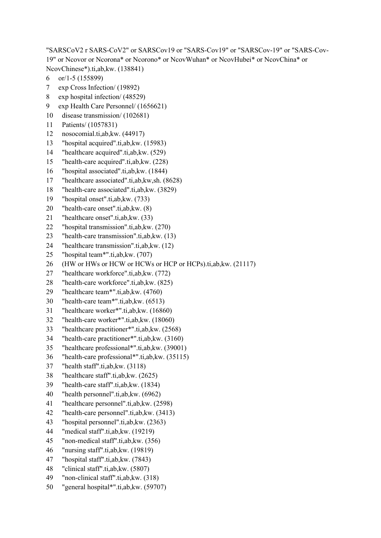"SARSCoV2 r SARS-CoV2" or SARSCov19 or "SARS-Cov19" or "SARSCov-19" or "SARS-Cov-19" or Ncovor or Ncorona\* or Ncorono\* or NcovWuhan\* or NcovHubei\* or NcovChina\* or NcovChinese\*).ti,ab,kw. (138841)

- 6 or/1-5 (155899)
- 7 exp Cross Infection/ (19892)
- 8 exp hospital infection/ (48529)
- 9 exp Health Care Personnel/ (1656621)
- 10 disease transmission/ (102681)
- 11 Patients/ (1057831)
- 12 nosocomial.ti,ab,kw. (44917)
- 13 "hospital acquired".ti,ab,kw. (15983)
- 14 "healthcare acquired".ti,ab,kw. (529)
- 15 "health-care acquired".ti,ab,kw. (228)
- 16 "hospital associated".ti,ab,kw. (1844)
- 17 "healthcare associated".ti,ab,kw,sh. (8628)
- 18 "health-care associated".ti,ab,kw. (3829)
- 19 "hospital onset".ti,ab,kw. (733)
- 20 "health-care onset".ti,ab,kw. (8)
- 21 "healthcare onset".ti,ab,kw. (33)
- 22 "hospital transmission".ti,ab,kw. (270)
- 23 "health-care transmission".ti,ab,kw. (13)
- 24 "healthcare transmission".ti,ab,kw. (12)
- 25 "hospital team\*".ti,ab,kw. (707)
- 26 (HW or HWs or HCW or HCWs or HCP or HCPs).ti,ab,kw. (21117)
- 27 "healthcare workforce".ti,ab,kw. (772)
- 28 "health-care workforce".ti,ab,kw. (825)
- 29 "healthcare team\*".ti,ab,kw. (4760)
- 30 "health-care team\*".ti,ab,kw. (6513)
- 31 "healthcare worker\*".ti,ab,kw. (16860)
- 32 "health-care worker\*".ti,ab,kw. (18060)
- 33 "healthcare practitioner\*".ti,ab,kw. (2568)
- 34 "health-care practitioner\*".ti,ab,kw. (3160)
- 35 "healthcare professional\*".ti,ab,kw. (39001)
- 36 "health-care professional\*".ti,ab,kw. (35115)
- 37 "health staff".ti,ab,kw. (3118)
- 38 "healthcare staff".ti,ab,kw. (2625)
- 39 "health-care staff".ti,ab,kw. (1834)
- 40 "health personnel".ti,ab,kw. (6962)
- 41 "healthcare personnel".ti,ab,kw. (2598)
- 42 "health-care personnel".ti,ab,kw. (3413)
- 43 "hospital personnel".ti,ab,kw. (2363)
- 44 "medical staff".ti,ab,kw. (19219)
- 45 "non-medical staff".ti,ab,kw. (356)
- 46 "nursing staff".ti,ab,kw. (19819)
- 47 "hospital staff".ti,ab,kw. (7843)
- 48 "clinical staff".ti,ab,kw. (5807)
- 49 "non-clinical staff".ti,ab,kw. (318)
- 50 "general hospital\*".ti,ab,kw. (59707)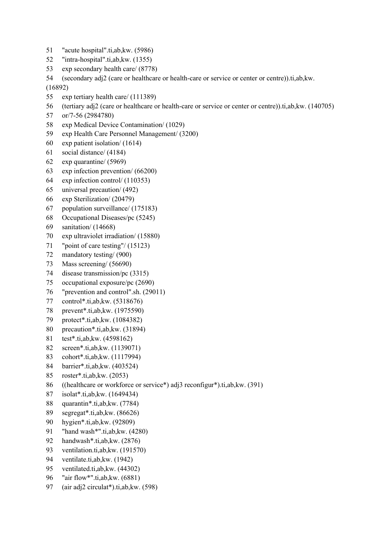- 51 "acute hospital".ti,ab,kw. (5986)
- 52 "intra-hospital".ti,ab,kw. (1355)
- 53 exp secondary health care/ (8778)
- 54 (secondary adj2 (care or healthcare or health-care or service or center or centre)).ti,ab,kw.

(16892)

- 55 exp tertiary health care/ (111389)
- 56 (tertiary adj2 (care or healthcare or health-care or service or center or centre)).ti,ab,kw. (140705)
- 57 or/7-56 (2984780)
- 58 exp Medical Device Contamination/ (1029)
- 59 exp Health Care Personnel Management/ (3200)
- 60 exp patient isolation/ (1614)
- 61 social distance/ (4184)
- 62 exp quarantine/ (5969)
- 63 exp infection prevention/ (66200)
- 64 exp infection control/ (110353)
- 65 universal precaution/ (492)
- 66 exp Sterilization/ (20479)
- 67 population surveillance/ (175183)
- 68 Occupational Diseases/pc (5245)
- 69 sanitation/ (14668)
- 70 exp ultraviolet irradiation/ (15880)
- 71 "point of care testing"/ (15123)
- 72 mandatory testing/ (900)
- 73 Mass screening/ (56690)
- 74 disease transmission/pc (3315)
- 75 occupational exposure/pc (2690)
- 76 "prevention and control".sh. (29011)
- 77 control\*.ti,ab,kw. (5318676)
- 78 prevent\*.ti,ab,kw. (1975590)
- 79 protect\*.ti,ab,kw. (1084382)
- 80 precaution\*.ti,ab,kw. (31894)
- 81 test\*.ti,ab,kw. (4598162)
- 82 screen\*.ti,ab,kw. (1139071)
- 83 cohort\*.ti,ab,kw. (1117994)
- 84 barrier\*.ti,ab,kw. (403524)
- 85 roster\*.ti,ab,kw. (2053)
- 86 ((healthcare or workforce or service\*) adj3 reconfigur\*).ti,ab,kw. (391)
- 87 isolat\*.ti,ab,kw. (1649434)
- 88 quarantin\*.ti,ab,kw. (7784)
- 89 segregat\*.ti,ab,kw. (86626)
- 90 hygien\*.ti,ab,kw. (92809)
- 91 "hand wash\*".ti,ab,kw. (4280)
- 92 handwash\*.ti,ab,kw. (2876)
- 93 ventilation.ti,ab,kw. (191570)
- 94 ventilate.ti,ab,kw. (1942)
- 95 ventilated.ti,ab,kw. (44302)
- 96 "air flow\*".ti,ab,kw. (6881)
- 97 (air adj2 circulat\*).ti,ab,kw. (598)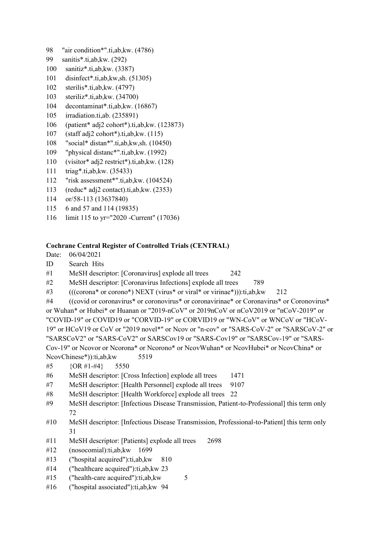- 98 "air condition\*".ti,ab,kw. (4786)
- 99 sanitis\*.ti,ab,kw. (292)
- 100 sanitiz\*.ti,ab,kw. (3387)
- 101 disinfect\*.ti,ab,kw,sh. (51305)
- 102 sterilis\*.ti,ab,kw. (4797)
- 103 steriliz\*.ti,ab,kw. (34700)
- 104 decontaminat\*.ti,ab,kw. (16867)
- 105 irradiation.ti,ab. (235891)
- 106 (patient\* adj2 cohort\*).ti,ab,kw. (123873)
- 107 (staff adj2 cohort\*).ti,ab,kw. (115)
- 108 "social\* distan\*".ti,ab,kw,sh. (10450)
- 109 "physical distanc\*".ti,ab,kw. (1992)
- 110 (visitor\* adj2 restrict\*).ti,ab,kw. (128)
- 111 triag\*.ti,ab,kw. (35433)
- 112 "risk assessment\*".ti,ab,kw. (104524)
- 113 (reduc\* adj2 contact).ti,ab,kw. (2353)
- 114 or/58-113 (13637840)
- 115 6 and 57 and 114 (19835)
- 116 limit 115 to yr="2020 -Current" (17036)

## **Cochrane Central Register of Controlled Trials (CENTRAL)**

- Date: 06/04/2021
- ID Search Hits
- #1 MeSH descriptor: [Coronavirus] explode all trees 242
- #2 MeSH descriptor: [Coronavirus Infections] explode all trees 789
- #3  $((\text{corona* or corono*}) \text{ NEXT (virus* or viral* or virinae*})):$ :ti,ab,kw 212

#4 ((covid or coronavirus\* or coronovirus\* or coronavirinae\* or Coronavirus\* or Coronovirus\* or Wuhan\* or Hubei\* or Huanan or "2019-nCoV" or 2019nCoV or nCoV2019 or "nCoV-2019" or "COVID-19" or COVID19 or "CORVID-19" or CORVID19 or "WN-CoV" or WNCoV or "HCoV-19" or HCoV19 or CoV or "2019 novel\*" or Ncov or "n-cov" or "SARS-CoV-2" or "SARSCoV-2" or "SARSCoV2" or "SARS-CoV2" or SARSCov19 or "SARS-Cov19" or "SARSCov-19" or "SARS-Cov-19" or Ncovor or Ncorona\* or Ncorono\* or NcovWuhan\* or NcovHubei\* or NcovChina\* or NcovChinese\*)):ti,ab,kw 5519

- #5 {OR #1-#4} 5550
- #6 MeSH descriptor: [Cross Infection] explode all trees 1471
- #7 MeSH descriptor: [Health Personnel] explode all trees 9107
- #8 MeSH descriptor: [Health Workforce] explode all trees 22
- #9 MeSH descriptor: [Infectious Disease Transmission, Patient-to-Professional] this term only 72
- #10 MeSH descriptor: [Infectious Disease Transmission, Professional-to-Patient] this term only 31
- #11 MeSH descriptor: [Patients] explode all trees 2698
- #12 (nosocomial):ti,ab,kw 1699
- #13 ("hospital acquired"):ti,ab,kw 810
- #14 ("healthcare acquired"):ti,ab,kw 23
- #15 ("health-care acquired"):ti,ab,kw 5
- #16 ("hospital associated"):ti,ab,kw 94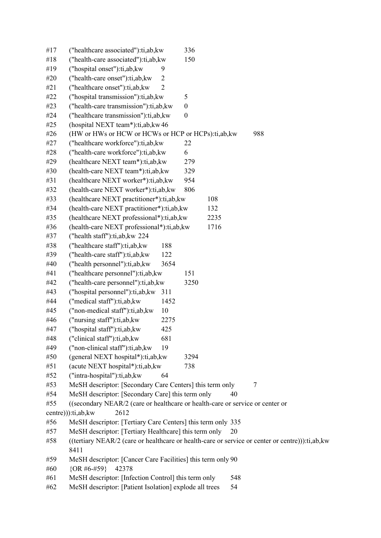| #17 | ("healthcare associated"):ti,ab,kw                                                              | 336              |     |
|-----|-------------------------------------------------------------------------------------------------|------------------|-----|
| #18 | ("health-care associated"):ti,ab,kw                                                             | 150              |     |
| #19 | ("hospital onset"):ti,ab, kw<br>9                                                               |                  |     |
| #20 | ("health-care onset"):ti,ab,kw<br>$\overline{2}$                                                |                  |     |
| #21 | $\overline{2}$<br>("healthcare onset"):ti,ab,kw                                                 |                  |     |
| #22 | ("hospital transmission"):ti,ab,kw                                                              | 5                |     |
| #23 | ("health-care transmission"):ti,ab,kw                                                           | $\boldsymbol{0}$ |     |
| #24 | ("healthcare transmission"):ti,ab,kw                                                            | $\boldsymbol{0}$ |     |
| #25 | (hospital NEXT team*):ti,ab, kw 46                                                              |                  |     |
| #26 | (HW or HWs or HCW or HCWs or HCP or HCPs):ti,ab,kw                                              |                  | 988 |
| #27 | ("healthcare workforce"):ti,ab,kw                                                               | 22               |     |
| #28 | ("health-care workforce"):ti,ab,kw                                                              | 6                |     |
| #29 | (healthcare NEXT team*):ti,ab,kw                                                                | 279              |     |
| #30 | (health-care NEXT team*):ti,ab,kw                                                               | 329              |     |
| #31 | (healthcare NEXT worker*):ti,ab,kw                                                              | 954              |     |
| #32 | (health-care NEXT worker*):ti,ab,kw                                                             | 806              |     |
| #33 | (healthcare NEXT practitioner*):ti,ab,kw                                                        | 108              |     |
| #34 | (health-care NEXT practitioner*):ti,ab,kw                                                       | 132              |     |
| #35 | (healthcare NEXT professional*):ti,ab,kw                                                        | 2235             |     |
| #36 | (health-care NEXT professional*):ti,ab,kw                                                       | 1716             |     |
| #37 | ("health staff"):ti,ab, kw 224                                                                  |                  |     |
| #38 | ("healthcare staff"):ti,ab,kw<br>188                                                            |                  |     |
| #39 | ("health-care staff"):ti,ab,kw<br>122                                                           |                  |     |
| #40 | ("health personnel"):ti,ab,kw<br>3654                                                           |                  |     |
| #41 | ("healthcare personnel"):ti,ab,kw                                                               | 151              |     |
| #42 | ("health-care personnel"):ti,ab,kw                                                              | 3250             |     |
| #43 | ("hospital personnel"):ti,ab,kw<br>311                                                          |                  |     |
| #44 | ("medical staff"):ti,ab,kw<br>1452                                                              |                  |     |
| #45 | ("non-medical staff"):ti,ab,kw<br>10                                                            |                  |     |
| #46 | ("nursing staff"):ti,ab, kw<br>2275                                                             |                  |     |
| #47 | ("hospital staff"):ti,ab, kw<br>425                                                             |                  |     |
| #48 | ("clinical staff"):ti,ab, kw<br>681                                                             |                  |     |
| #49 | ("non-clinical staff"):ti,ab,kw<br>19                                                           |                  |     |
| #50 | (general NEXT hospital*):ti,ab,kw                                                               | 3294             |     |
| #51 | (acute NEXT hospital*):ti,ab,kw                                                                 | 738              |     |
| #52 | ("intra-hospital"):ti,ab,kw<br>64                                                               |                  |     |
| #53 | MeSH descriptor: [Secondary Care Centers] this term only                                        |                  | 7   |
| #54 | MeSH descriptor: [Secondary Care] this term only                                                |                  | 40  |
| #55 | ((secondary NEAR/2 (care or healthcare or health-care or service or center or                   |                  |     |
|     | 2612<br>centre))):ti,ab, kw                                                                     |                  |     |
| #56 | MeSH descriptor: [Tertiary Care Centers] this term only 335                                     |                  |     |
| #57 | MeSH descriptor: [Tertiary Healthcare] this term only                                           |                  | 20  |
| #58 | ((tertiary NEAR/2 (care or healthcare or health-care or service or center or centre))):ti,ab,kw |                  |     |
|     | 8411                                                                                            |                  |     |
| #59 | MeSH descriptor: [Cancer Care Facilities] this term only 90                                     |                  |     |
| #60 | $\{OR\#6\#59\}$<br>42378                                                                        |                  |     |
| #61 | MeSH descriptor: [Infection Control] this term only                                             |                  | 548 |
| #62 | MeSH descriptor: [Patient Isolation] explode all trees                                          |                  | 54  |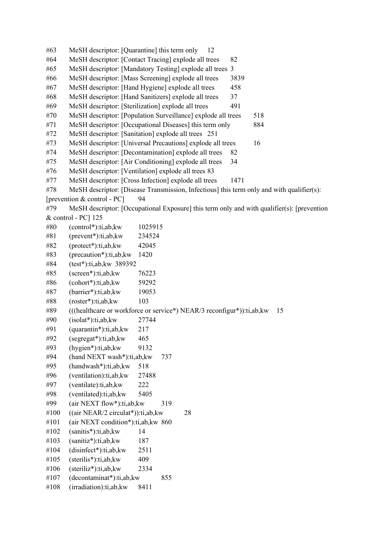#63 MeSH descriptor: [Quarantine] this term only 12 #64 MeSH descriptor: [Contact Tracing] explode all trees 82 #65 MeSH descriptor: [Mandatory Testing] explode all trees 3 #66 MeSH descriptor: [Mass Screening] explode all trees 3839 #67 MeSH descriptor: [Hand Hygiene] explode all trees 458 #68 MeSH descriptor: [Hand Sanitizers] explode all trees 37 #69 MeSH descriptor: [Sterilization] explode all trees 491 #70 MeSH descriptor: [Population Surveillance] explode all trees 518 #71 MeSH descriptor: [Occupational Diseases] this term only 884 #72 MeSH descriptor: [Sanitation] explode all trees 251 #73 MeSH descriptor: [Universal Precautions] explode all trees 16 #74 MeSH descriptor: [Decontamination] explode all trees 82 #75 MeSH descriptor: [Air Conditioning] explode all trees 34 #76 MeSH descriptor: [Ventilation] explode all trees 83 #77 MeSH descriptor: [Cross Infection] explode all trees 1471 #78 MeSH descriptor: [Disease Transmission, Infectious] this term only and with qualifier(s): [prevention & control - PC] 94 #79 MeSH descriptor: [Occupational Exposure] this term only and with qualifier(s): [prevention & control - PC] 125 #80 (control\*):ti,ab,kw 1025915 #81 (prevent\*):ti,ab,kw 234524 #82 (protect\*):ti,ab,kw 42045 #83 (precaution\*):ti,ab,kw 1420 #84 (test\*):ti,ab,kw 389392 #85 (screen\*):ti,ab,kw 76223 #86 (cohort\*):ti,ab,kw 59292 #87 (barrier\*):ti,ab,kw 19053 #88 (roster\*):ti,ab,kw 103 #89 (((healthcare or workforce or service\*) NEAR/3 reconfigur\*)):ti,ab,kw 15 #90 (isolat\*):ti,ab,kw 27744 #91 (quarantin\*):ti,ab,kw 217 #92 (segregat\*):ti,ab,kw 465 #93 (hygien\*):ti,ab,kw 9132 #94 (hand NEXT wash\*):ti,ab,kw 737 #95 (handwash\*):ti,ab,kw 518 #96 (ventilation):ti,ab,kw 27488 #97 (ventilate):ti,ab,kw 222 #98 (ventilated):ti,ab,kw 5405 #99 (air NEXT flow\*):ti,ab,kw 319 #100 ((air NEAR/2 circulat\*)):ti,ab,kw 28 #101 (air NEXT condition\*):ti,ab,kw 860  $#102$  (sanitis\*):ti,ab, kw 14 #103 (sanitiz\*):ti,ab,kw 187 #104 (disinfect\*):ti,ab,kw 2511 #105 (sterilis\*):ti,ab,kw 409 #106 (steriliz\*):ti,ab,kw 2334  $#107$  (decontaminat\*):ti,ab, kw 855 #108 (irradiation):ti,ab,kw 8411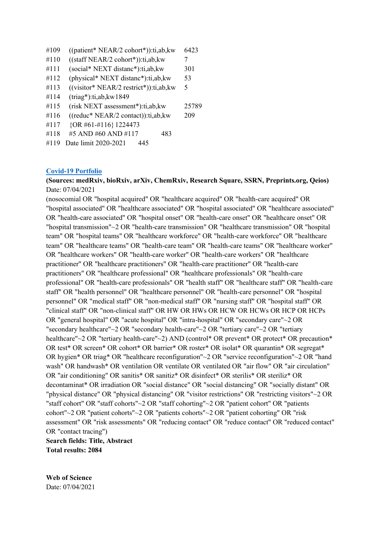- #109 ((patient\* NEAR/2 cohort\*)):ti,ab,kw 6423
- $#110$  ((staff NEAR/2 cohort\*)):ti,ab, kw 7
- #111 (social\* NEXT distanc\*):ti,ab,kw 301
- #112 (physical\* NEXT distanc\*):ti,ab,kw 53
- #113 ((visitor\* NEAR/2 restrict\*)):ti,ab,kw 5
- #114 (triag\*):ti,ab,kw1849
- #115 (risk NEXT assessment\*):ti,ab,kw 25789
- #116 ((reduc\* NEAR/2 contact)):ti,ab,kw 209
- #117 {OR #61-#116}1224473
- #118 #5 AND #60 AND #117 483
- #119 Date limit 2020-2021 445

#### **[Covid-19 Portfolio](https://icite.od.nih.gov/covid19/search/#home)**

### **(Sources: medRxiv, bioRxiv, arXiv, ChemRxiv, Research Square, SSRN, Preprints.org, Qeios)** Date: 07/04/2021

(nosocomial OR "hospital acquired" OR "healthcare acquired" OR "health-care acquired" OR "hospital associated" OR "healthcare associated" OR "hospital associated" OR "healthcare associated" OR "health-care associated" OR "hospital onset" OR "health-care onset" OR "healthcare onset" OR "hospital transmission"~2 OR "health-care transmission" OR "healthcare transmission" OR "hospital team" OR "hospital teams" OR "healthcare workforce" OR "health-care workforce" OR "healthcare team" OR "healthcare teams" OR "health-care team" OR "health-care teams" OR "healthcare worker" OR "healthcare workers" OR "health-care worker" OR "health-care workers" OR "healthcare practitioner" OR "healthcare practitioners" OR "health-care practitioner" OR "health-care practitioners" OR "healthcare professional" OR "healthcare professionals" OR "health-care professional" OR "health-care professionals" OR "health staff" OR "healthcare staff" OR "health-care staff" OR "health personnel" OR "healthcare personnel" OR "health-care personnel" OR "hospital personnel" OR "medical staff" OR "non-medical staff" OR "nursing staff" OR "hospital staff" OR "clinical staff" OR "non-clinical staff" OR HW OR HWs OR HCW OR HCWs OR HCP OR HCPs OR "general hospital" OR "acute hospital" OR "intra-hospital" OR "secondary care"~2 OR "secondary healthcare"~2 OR "secondary health-care"~2 OR "tertiary care"~2 OR "tertiary healthcare"~2 OR "tertiary health-care"~2) AND (control\* OR prevent\* OR protect\* OR precaution\* OR test\* OR screen\* OR cohort\* OR barrier\* OR roster\* OR isolat\* OR quarantin\* OR segregat\* OR hygien\* OR triag\* OR "healthcare reconfiguration"~2 OR "service reconfiguration"~2 OR "hand wash" OR handwash\* OR ventilation OR ventilate OR ventilated OR "air flow" OR "air circulation" OR "air conditioning" OR sanitis\* OR sanitiz\* OR disinfect\* OR sterilis\* OR steriliz\* OR decontaminat\* OR irradiation OR "social distance" OR "social distancing" OR "socially distant" OR "physical distance" OR "physical distancing" OR "visitor restrictions" OR "restricting visitors"~2 OR "staff cohort" OR "staff cohorts"~2 OR "staff cohorting"~2 OR "patient cohort" OR "patients cohort"~2 OR "patient cohorts"~2 OR "patients cohorts"~2 OR "patient cohorting" OR "risk assessment" OR "risk assessments" OR "reducing contact" OR "reduce contact" OR "reduced contact" OR "contact tracing")

**Search fields: Title, Abstract Total results: 2084**

**Web of Science** Date: 07/04/2021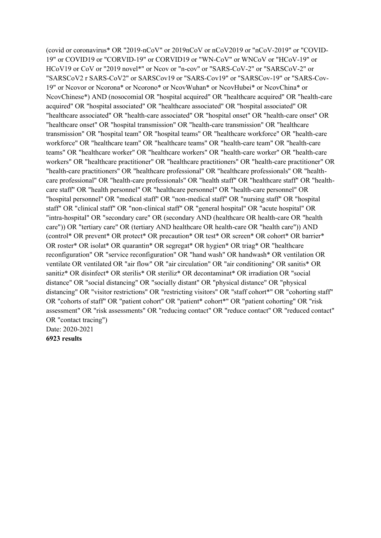(covid or coronavirus\* OR "2019-nCoV" or 2019nCoV or nCoV2019 or "nCoV-2019" or "COVID-19" or COVID19 or "CORVID-19" or CORVID19 or "WN-CoV" or WNCoV or "HCoV-19" or HCoV19 or CoV or "2019 novel\*" or Ncov or "n-cov" or "SARS-CoV-2" or "SARSCoV-2" or "SARSCoV2 r SARS-CoV2" or SARSCov19 or "SARS-Cov19" or "SARSCov-19" or "SARS-Cov-19" or Ncovor or Ncorona\* or Ncorono\* or NcovWuhan\* or NcovHubei\* or NcovChina\* or NcovChinese\*) AND (nosocomial OR "hospital acquired" OR "healthcare acquired" OR "health-care acquired" OR "hospital associated" OR "healthcare associated" OR "hospital associated" OR "healthcare associated" OR "health-care associated" OR "hospital onset" OR "health-care onset" OR "healthcare onset" OR "hospital transmission" OR "health-care transmission" OR "healthcare transmission" OR "hospital team" OR "hospital teams" OR "healthcare workforce" OR "health-care workforce" OR "healthcare team" OR "healthcare teams" OR "health-care team" OR "health-care teams" OR "healthcare worker" OR "healthcare workers" OR "health-care worker" OR "health-care workers" OR "healthcare practitioner" OR "healthcare practitioners" OR "health-care practitioner" OR "health-care practitioners" OR "healthcare professional" OR "healthcare professionals" OR "healthcare professional" OR "health-care professionals" OR "health staff" OR "healthcare staff" OR "healthcare staff" OR "health personnel" OR "healthcare personnel" OR "health-care personnel" OR "hospital personnel" OR "medical staff" OR "non-medical staff" OR "nursing staff" OR "hospital staff" OR "clinical staff" OR "non-clinical staff" OR "general hospital" OR "acute hospital" OR "intra-hospital" OR "secondary care" OR (secondary AND (healthcare OR health-care OR "health care")) OR "tertiary care" OR (tertiary AND healthcare OR health-care OR "health care")) AND (control\* OR prevent\* OR protect\* OR precaution\* OR test\* OR screen\* OR cohort\* OR barrier\* OR roster\* OR isolat\* OR quarantin\* OR segregat\* OR hygien\* OR triag\* OR "healthcare reconfiguration" OR "service reconfiguration" OR "hand wash" OR handwash\* OR ventilation OR ventilate OR ventilated OR "air flow" OR "air circulation" OR "air conditioning" OR sanitis\* OR sanitiz\* OR disinfect\* OR sterilis\* OR steriliz\* OR decontaminat\* OR irradiation OR "social distance" OR "social distancing" OR "socially distant" OR "physical distance" OR "physical distancing" OR "visitor restrictions" OR "restricting visitors" OR "staff cohort\*" OR "cohorting staff" OR "cohorts of staff" OR "patient cohort" OR "patient\* cohort\*" OR "patient cohorting" OR "risk assessment" OR "risk assessments" OR "reducing contact" OR "reduce contact" OR "reduced contact" OR "contact tracing") Date: 2020-2021 **6923 results**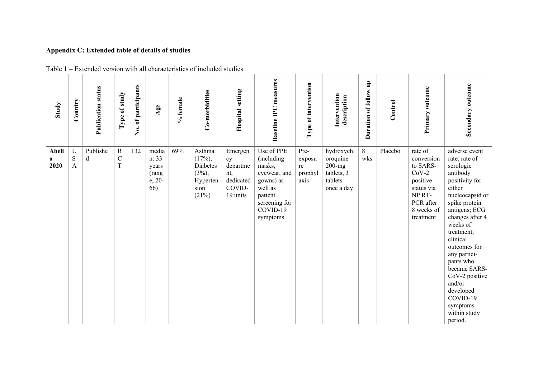# **Appendix C: Extended table of details of studies**

| Study                     | Country               | <b>Publication status</b> | study<br>$\mathfrak{b}$<br>${\bf Type}$ | No. of participants | Agee                                              | % female | Co-morbidities                                                           | Hospital setting                                                    | <b>Baseline IPC</b> measures                                                                                                   | Type of intervention                    | Intervention<br>description                                                 | Duration of follow up | Control | Primary outcome                                                                                                          | Secondary outcome                                                                                                                                                                                                                                                                                                                                          |
|---------------------------|-----------------------|---------------------------|-----------------------------------------|---------------------|---------------------------------------------------|----------|--------------------------------------------------------------------------|---------------------------------------------------------------------|--------------------------------------------------------------------------------------------------------------------------------|-----------------------------------------|-----------------------------------------------------------------------------|-----------------------|---------|--------------------------------------------------------------------------------------------------------------------------|------------------------------------------------------------------------------------------------------------------------------------------------------------------------------------------------------------------------------------------------------------------------------------------------------------------------------------------------------------|
| <b>Abell</b><br>a<br>2020 | $\mathbf U$<br>S<br>A | Publishe<br>d             | ${\bf R}$<br>$\mathcal{C}$<br>$\rm T$   | 132                 | media<br>n: 33<br>years<br>(rang<br>e, 20-<br>66) | 69%      | Asthma<br>$(17\%)$ ,<br>Diabetes<br>$(3\%)$<br>Hyperten<br>sion<br>(21%) | Emergen<br>cy<br>departme<br>nt,<br>dedicated<br>COVID-<br>19 units | Use of PPE<br>(including<br>masks,<br>eyewear, and<br>gowns) as<br>well as<br>patient<br>screening for<br>COVID-19<br>symptoms | Pre-<br>exposu<br>re<br>prophyl<br>axis | hydroxychl<br>oroquine<br>$200 - mg$<br>tablets, 3<br>tablets<br>once a day | $8\,$<br>wks          | Placebo | rate of<br>conversion<br>to SARS-<br>$CoV-2$<br>positive<br>status via<br>NP RT-<br>PCR after<br>8 weeks of<br>treatment | adverse event<br>rate; rate of<br>serologic<br>antibody<br>positivity for<br>either<br>nucleocapsid or<br>spike protein<br>antigens; ECG<br>changes after 4<br>weeks of<br>treatment;<br>clinical<br>outcomes for<br>any partici-<br>pants who<br>became SARS-<br>CoV-2 positive<br>and/or<br>developed<br>COVID-19<br>symptoms<br>within study<br>period. |

Table 1 – Extended version with all characteristics of included studies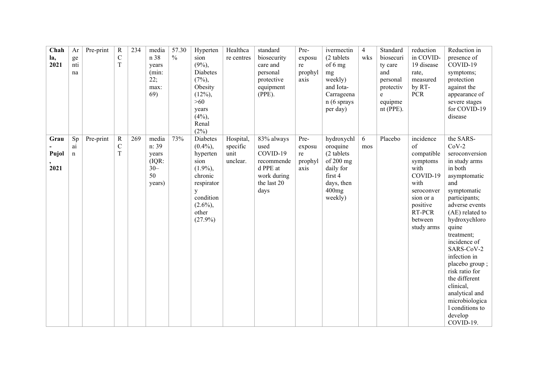| Chah<br>la,<br>2021   | Ar<br>ge<br>nti<br>na   | Pre-print | ${\bf R}$<br>$\mathbf C$<br>$\rm T$       | 234 | media<br>n 38<br>years<br>(min:<br>22;<br>max:<br>69)      | 57.30<br>$\frac{0}{0}$ | Hyperten<br>sion<br>$(9\%,$<br><b>Diabetes</b><br>(7%)<br>Obesity<br>$(12\%),$<br>$>60$<br>years<br>$(4\%)$<br>Renal<br>$(2\%)$          | Healthca<br>re centres                    | standard<br>biosecurity<br>care and<br>personal<br>protective<br>equipment<br>$(PPE)$ .        | Pre-<br>exposu<br>re<br>prophyl<br>axis | ivermectin<br>(2 tablets)<br>of 6 mg<br>mg<br>weekly)<br>and Iota-<br>Carrageena<br>$n(6$ sprays<br>per day)  | $\overline{4}$<br>wks | Standard<br>biosecuri<br>ty care<br>and<br>personal<br>protectiv<br>$\mathbf e$<br>equipme<br>$nt$ (PPE). | reduction<br>in COVID-<br>19 disease<br>rate,<br>measured<br>by RT-<br><b>PCR</b>                                                               | Reduction in<br>presence of<br>COVID-19<br>symptoms;<br>protection<br>against the<br>appearance of<br>severe stages<br>for COVID-19<br>disease                                                                                                                                                                                                                                                        |
|-----------------------|-------------------------|-----------|-------------------------------------------|-----|------------------------------------------------------------|------------------------|------------------------------------------------------------------------------------------------------------------------------------------|-------------------------------------------|------------------------------------------------------------------------------------------------|-----------------------------------------|---------------------------------------------------------------------------------------------------------------|-----------------------|-----------------------------------------------------------------------------------------------------------|-------------------------------------------------------------------------------------------------------------------------------------------------|-------------------------------------------------------------------------------------------------------------------------------------------------------------------------------------------------------------------------------------------------------------------------------------------------------------------------------------------------------------------------------------------------------|
| Grau<br>Pujol<br>2021 | Sp<br>ai<br>$\mathbf n$ | Pre-print | $\mathbf R$<br>$\mathbf C$<br>$\mathbf T$ | 269 | media<br>n: 39<br>years<br>(IQR:<br>$30 -$<br>50<br>years) | 73%                    | Diabetes<br>$(0.4\%)$<br>hyperten<br>sion<br>$(1.9\%),$<br>chronic<br>respirator<br>y<br>condition<br>$(2.6\%)$ ,<br>other<br>$(27.9\%)$ | Hospital,<br>specific<br>unit<br>unclear. | 83% always<br>used<br>COVID-19<br>recommende<br>d PPE at<br>work during<br>the last 20<br>days | Pre-<br>exposu<br>re<br>prophyl<br>axis | hydroxychl<br>oroquine<br>(2 tablets<br>of $200$ mg<br>daily for<br>first 4<br>days, then<br>400mg<br>weekly) | 6<br>mos              | Placebo                                                                                                   | incidence<br>of<br>compatible<br>symptoms<br>with<br>COVID-19<br>with<br>seroconver<br>sion or a<br>positive<br>RT-PCR<br>between<br>study arms | the SARS-<br>$CoV-2$<br>seroconversion<br>in study arms<br>in both<br>asymptomatic<br>and<br>symptomatic<br>participants;<br>adverse events<br>(AE) related to<br>hydroxychloro<br>quine<br>treatment;<br>incidence of<br>SARS-CoV-2<br>infection in<br>placebo group;<br>risk ratio for<br>the different<br>clinical,<br>analytical and<br>microbiologica<br>1 conditions to<br>develop<br>COVID-19. |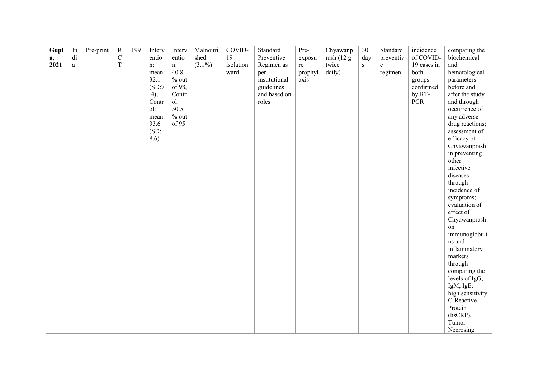| Gupt | In                      | Pre-print | $\mathbf R$ | 199 | Interv   | Interv  | Malnouri  | COVID-    | Standard      | Pre-    | Chyawanp   | $30\,$ | Standard  | incidence      | comparing the    |
|------|-------------------------|-----------|-------------|-----|----------|---------|-----------|-----------|---------------|---------|------------|--------|-----------|----------------|------------------|
| a,   | $\mathrm{d} \mathrm{i}$ |           | $\mathbf C$ |     | entio    | entio   | shed      | 19        | Preventive    | exposu  | rash (12 g | day    | preventiv | of COVID-      | biochemical      |
| 2021 | $\rm{a}$                |           | $\mathbf T$ |     | n:       | n:      | $(3.1\%)$ | isolation | Regimen as    | re      | twice      | S      | e         | 19 cases in    | and              |
|      |                         |           |             |     | mean:    | 40.8    |           | ward      | per           | prophyl | daily)     |        | regimen   | both           | hematological    |
|      |                         |           |             |     | 32.1     | $%$ out |           |           | institutional | axis    |            |        |           | groups         | parameters       |
|      |                         |           |             |     | (SD:7)   | of 98,  |           |           | guidelines    |         |            |        |           | confirmed      | before and       |
|      |                         |           |             |     | .4);     | Contr   |           |           | and based on  |         |            |        |           | by RT-         | after the study  |
|      |                         |           |             |     | Contr    | ol:     |           |           | roles         |         |            |        |           | ${\mbox{PCR}}$ | and through      |
|      |                         |           |             |     | ol:      | 50.5    |           |           |               |         |            |        |           |                | occurrence of    |
|      |                         |           |             |     | mean:    | $%$ out |           |           |               |         |            |        |           |                | any adverse      |
|      |                         |           |             |     | 33.6     | of 95   |           |           |               |         |            |        |           |                | drug reactions;  |
|      |                         |           |             |     | $(SD)$ : |         |           |           |               |         |            |        |           |                | assessment of    |
|      |                         |           |             |     | 8.6)     |         |           |           |               |         |            |        |           |                | efficacy of      |
|      |                         |           |             |     |          |         |           |           |               |         |            |        |           |                | Chyawanprash     |
|      |                         |           |             |     |          |         |           |           |               |         |            |        |           |                | in preventing    |
|      |                         |           |             |     |          |         |           |           |               |         |            |        |           |                | other            |
|      |                         |           |             |     |          |         |           |           |               |         |            |        |           |                | infective        |
|      |                         |           |             |     |          |         |           |           |               |         |            |        |           |                | diseases         |
|      |                         |           |             |     |          |         |           |           |               |         |            |        |           |                | through          |
|      |                         |           |             |     |          |         |           |           |               |         |            |        |           |                | incidence of     |
|      |                         |           |             |     |          |         |           |           |               |         |            |        |           |                | symptoms;        |
|      |                         |           |             |     |          |         |           |           |               |         |            |        |           |                | evaluation of    |
|      |                         |           |             |     |          |         |           |           |               |         |            |        |           |                | effect of        |
|      |                         |           |             |     |          |         |           |           |               |         |            |        |           |                | Chyawanprash     |
|      |                         |           |             |     |          |         |           |           |               |         |            |        |           |                | on               |
|      |                         |           |             |     |          |         |           |           |               |         |            |        |           |                | immunoglobuli    |
|      |                         |           |             |     |          |         |           |           |               |         |            |        |           |                | ns and           |
|      |                         |           |             |     |          |         |           |           |               |         |            |        |           |                | inflammatory     |
|      |                         |           |             |     |          |         |           |           |               |         |            |        |           |                | markers          |
|      |                         |           |             |     |          |         |           |           |               |         |            |        |           |                | through          |
|      |                         |           |             |     |          |         |           |           |               |         |            |        |           |                | comparing the    |
|      |                         |           |             |     |          |         |           |           |               |         |            |        |           |                | levels of IgG,   |
|      |                         |           |             |     |          |         |           |           |               |         |            |        |           |                | IgM, IgE,        |
|      |                         |           |             |     |          |         |           |           |               |         |            |        |           |                | high sensitivity |
|      |                         |           |             |     |          |         |           |           |               |         |            |        |           |                | C-Reactive       |
|      |                         |           |             |     |          |         |           |           |               |         |            |        |           |                | Protein          |
|      |                         |           |             |     |          |         |           |           |               |         |            |        |           |                | (hsCRP),         |
|      |                         |           |             |     |          |         |           |           |               |         |            |        |           |                | Tumor            |
|      |                         |           |             |     |          |         |           |           |               |         |            |        |           |                | Necrosing        |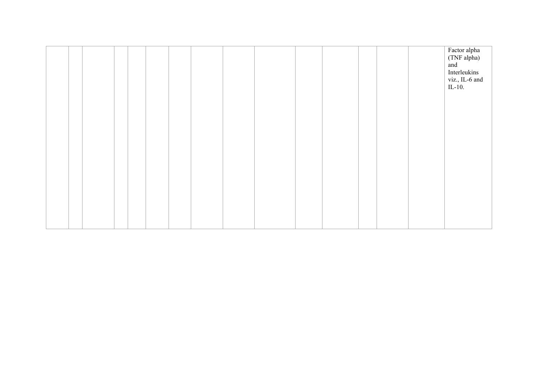|  |  |  |  |  |  |  | Factor alpha<br>(TNF alpha)<br>and<br>Interleukins<br>viz., IL-6 and<br>$IL-10.$ |
|--|--|--|--|--|--|--|----------------------------------------------------------------------------------|
|  |  |  |  |  |  |  |                                                                                  |
|  |  |  |  |  |  |  |                                                                                  |
|  |  |  |  |  |  |  |                                                                                  |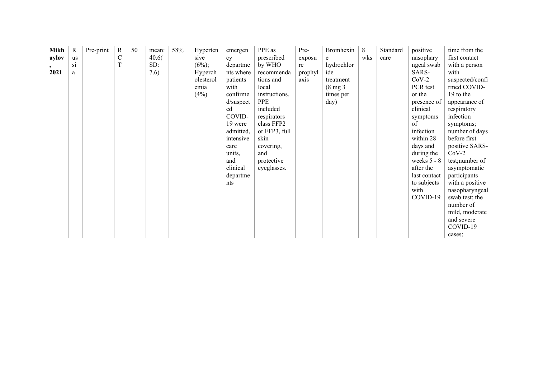| <b>Mikh</b> | R  | Pre-print | $\mathbb{R}$ | 50 | mean: | 58% | Hyperten  | emergen      | PPE as        | Pre-    | Bromhexin           | 8   | Standard | positive      | time from the   |
|-------------|----|-----------|--------------|----|-------|-----|-----------|--------------|---------------|---------|---------------------|-----|----------|---------------|-----------------|
| aylov       | us |           | $\mathbf C$  |    | 40.6( |     | sive      | cy           | prescribed    | exposu  | e                   | wks | care     | nasophary     | first contact   |
|             | Si |           | $\mathbf T$  |    | SD:   |     | $(6\%);$  | departme     | by WHO        | re      | hydrochlor          |     |          | ngeal swab    | with a person   |
| 2021        | a  |           |              |    | 7.6)  |     | Hyperch   | nts where    | recommenda    | prophyl | ide                 |     |          | SARS-         | with            |
|             |    |           |              |    |       |     | olesterol | patients     | tions and     | axis    | treatment           |     |          | $CoV-2$       | suspected/confi |
|             |    |           |              |    |       |     | emia      | with         | local         |         | $(8 \text{ mg } 3)$ |     |          | PCR test      | rmed COVID-     |
|             |    |           |              |    |       |     | (4%)      | confirme     | instructions. |         | times per           |     |          | or the        | 19 to the       |
|             |    |           |              |    |       |     |           | $d$ /suspect | PPE           |         | day)                |     |          | presence of   | appearance of   |
|             |    |           |              |    |       |     |           | ed           | included      |         |                     |     |          | clinical      | respiratory     |
|             |    |           |              |    |       |     |           | COVID-       | respirators   |         |                     |     |          | symptoms      | infection       |
|             |    |           |              |    |       |     |           | 19 were      | class FFP2    |         |                     |     |          | of            | symptoms;       |
|             |    |           |              |    |       |     |           | admitted,    | or FFP3, full |         |                     |     |          | infection     | number of days  |
|             |    |           |              |    |       |     |           | intensive    | skin          |         |                     |     |          | within 28     | before first    |
|             |    |           |              |    |       |     |           | care         | covering,     |         |                     |     |          | days and      | positive SARS-  |
|             |    |           |              |    |       |     |           | units,       | and           |         |                     |     |          | during the    | $CoV-2$         |
|             |    |           |              |    |       |     |           | and          | protective    |         |                     |     |          | weeks $5 - 8$ | test;number of  |
|             |    |           |              |    |       |     |           | clinical     | eyeglasses.   |         |                     |     |          | after the     | asymptomatic    |
|             |    |           |              |    |       |     |           | departme     |               |         |                     |     |          | last contact  | participants    |
|             |    |           |              |    |       |     |           | nts          |               |         |                     |     |          | to subjects   | with a positive |
|             |    |           |              |    |       |     |           |              |               |         |                     |     |          | with          | nasopharyngeal  |
|             |    |           |              |    |       |     |           |              |               |         |                     |     |          | COVID-19      | swab test; the  |
|             |    |           |              |    |       |     |           |              |               |         |                     |     |          |               | number of       |
|             |    |           |              |    |       |     |           |              |               |         |                     |     |          |               | mild, moderate  |
|             |    |           |              |    |       |     |           |              |               |         |                     |     |          |               | and severe      |
|             |    |           |              |    |       |     |           |              |               |         |                     |     |          |               | COVID-19        |
|             |    |           |              |    |       |     |           |              |               |         |                     |     |          |               | cases:          |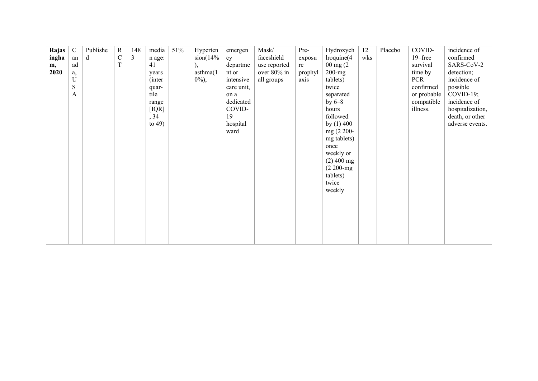| Rajas | $\mathcal{C}$ | Publishe | $\mathbf R$ | 148 | media     | 51% | Hyperten    | emergen    | Mask/        | Pre-    | Hydroxych             | 12  | Placebo | COVID-      | incidence of     |
|-------|---------------|----------|-------------|-----|-----------|-----|-------------|------------|--------------|---------|-----------------------|-----|---------|-------------|------------------|
| ingha | an            | d        | $\mathbf C$ | 3   | n age:    |     | $\sin(14\%$ | cy         | faceshield   | exposu  | $l$ roquine $(4)$     | wks |         | $19$ –free  | confirmed        |
| m,    | ad            |          | $\mathbf T$ |     | 41        |     |             | departme   | use reported | re      | $00 \text{ mg}$ $(2)$ |     |         | survival    | SARS-CoV-2       |
| 2020  |               |          |             |     |           |     | asthma(1)   | nt or      | over 80% in  | prophyl | $200$ -mg             |     |         | time by     | detection;       |
|       | a,<br>U       |          |             |     | years     |     | $0\%,$      | intensive  |              |         | tablets)              |     |         | <b>PCR</b>  | incidence of     |
|       | $\mathbf S$   |          |             |     | (inter    |     |             |            | all groups   | axis    |                       |     |         | confirmed   |                  |
|       |               |          |             |     | quar-     |     |             | care unit, |              |         | twice                 |     |         |             | possible         |
|       | A             |          |             |     | tile      |     |             | on a       |              |         | separated             |     |         | or probable | $COVID-19;$      |
|       |               |          |             |     | range     |     |             | dedicated  |              |         | by $6-8$              |     |         | compatible  | incidence of     |
|       |               |          |             |     | [IQR]     |     |             | COVID-     |              |         | hours                 |     |         | illness.    | hospitalization, |
|       |               |          |             |     | , 34      |     |             | 19         |              |         | followed              |     |         |             | death, or other  |
|       |               |          |             |     | to $49$ ) |     |             | hospital   |              |         | by $(1)$ 400          |     |         |             | adverse events.  |
|       |               |          |             |     |           |     |             | ward       |              |         | mg (2 200-            |     |         |             |                  |
|       |               |          |             |     |           |     |             |            |              |         | mg tablets)           |     |         |             |                  |
|       |               |          |             |     |           |     |             |            |              |         | once                  |     |         |             |                  |
|       |               |          |             |     |           |     |             |            |              |         | weekly or             |     |         |             |                  |
|       |               |          |             |     |           |     |             |            |              |         | $(2)$ 400 mg          |     |         |             |                  |
|       |               |          |             |     |           |     |             |            |              |         | $(2 200 - mg)$        |     |         |             |                  |
|       |               |          |             |     |           |     |             |            |              |         | tablets)              |     |         |             |                  |
|       |               |          |             |     |           |     |             |            |              |         | twice                 |     |         |             |                  |
|       |               |          |             |     |           |     |             |            |              |         | weekly                |     |         |             |                  |
|       |               |          |             |     |           |     |             |            |              |         |                       |     |         |             |                  |
|       |               |          |             |     |           |     |             |            |              |         |                       |     |         |             |                  |
|       |               |          |             |     |           |     |             |            |              |         |                       |     |         |             |                  |
|       |               |          |             |     |           |     |             |            |              |         |                       |     |         |             |                  |
|       |               |          |             |     |           |     |             |            |              |         |                       |     |         |             |                  |
|       |               |          |             |     |           |     |             |            |              |         |                       |     |         |             |                  |
|       |               |          |             |     |           |     |             |            |              |         |                       |     |         |             |                  |